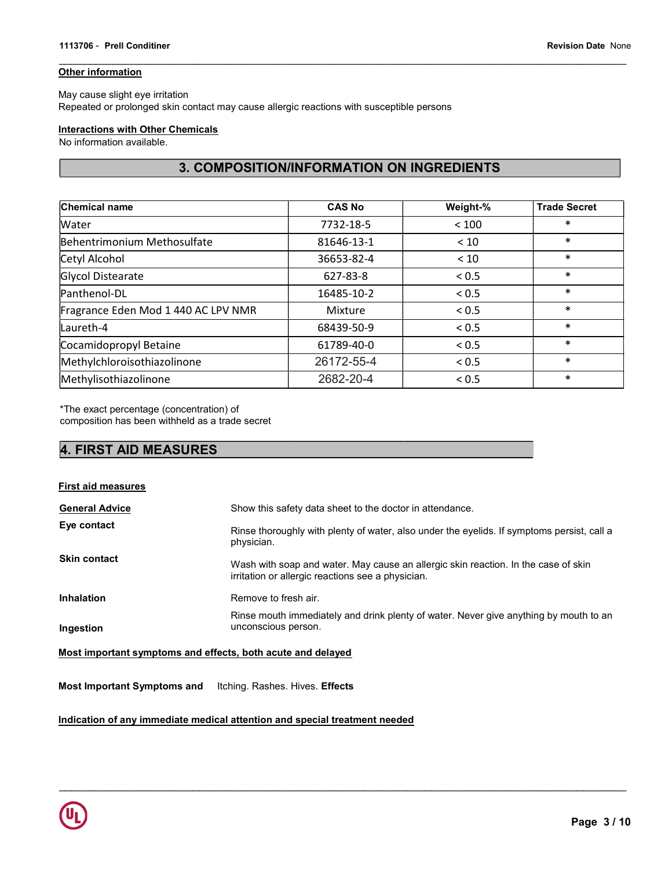## **Other information**

May cause slight eye irritation Repeated or prolonged skin contact may cause allergic reactions with susceptible persons

## **Interactions with Other Chemicals**

No information available.

# 3. COMPOSITION/INFORMATION ON INGREDIENTS

| <b>Chemical name</b>                | <b>CAS No</b> | Weight-% | <b>Trade Secret</b> |
|-------------------------------------|---------------|----------|---------------------|
| <b>Water</b>                        | 7732-18-5     | < 100    | $\ast$              |
| Behentrimonium Methosulfate         | 81646-13-1    | < 10     | $\ast$              |
| Cetyl Alcohol                       | 36653-82-4    | < 10     | $\ast$              |
| Glycol Distearate                   | 627-83-8      | < 0.5    | $\ast$              |
| Panthenol-DL                        | 16485-10-2    | < 0.5    | $\ast$              |
| Fragrance Eden Mod 1 440 AC LPV NMR | Mixture       | < 0.5    | $\ast$              |
| Laureth-4                           | 68439-50-9    | < 0.5    | $\ast$              |
| Cocamidopropyl Betaine              | 61789-40-0    | < 0.5    | $\ast$              |
| Methylchloroisothiazolinone         | 26172-55-4    | < 0.5    | $\ast$              |
| Methylisothiazolinone               | 2682-20-4     | < 0.5    | $\ast$              |

\*The exact percentage (concentration) of

composition has been withheld as a trade secret

# 4. FIRST AID MEASURES

| <b>First aid measures</b> |                                                                                                                                         |
|---------------------------|-----------------------------------------------------------------------------------------------------------------------------------------|
| <b>General Advice</b>     | Show this safety data sheet to the doctor in attendance.                                                                                |
| Eye contact               | Rinse thoroughly with plenty of water, also under the eyelids. If symptoms persist, call a<br>physician.                                |
| <b>Skin contact</b>       | Wash with soap and water. May cause an allergic skin reaction. In the case of skin<br>irritation or allergic reactions see a physician. |
| <b>Inhalation</b>         | Remove to fresh air.                                                                                                                    |
| Ingestion                 | Rinse mouth immediately and drink plenty of water. Never give anything by mouth to an<br>unconscious person.                            |
|                           |                                                                                                                                         |

 $\mathcal{L}_\mathcal{L} = \{ \mathcal{L}_\mathcal{L} = \{ \mathcal{L}_\mathcal{L} = \{ \mathcal{L}_\mathcal{L} = \{ \mathcal{L}_\mathcal{L} = \{ \mathcal{L}_\mathcal{L} = \{ \mathcal{L}_\mathcal{L} = \{ \mathcal{L}_\mathcal{L} = \{ \mathcal{L}_\mathcal{L} = \{ \mathcal{L}_\mathcal{L} = \{ \mathcal{L}_\mathcal{L} = \{ \mathcal{L}_\mathcal{L} = \{ \mathcal{L}_\mathcal{L} = \{ \mathcal{L}_\mathcal{L} = \{ \mathcal{L}_\mathcal{$ 

Most important symptoms and effects, both acute and delayed

Most Important Symptoms and Itching. Rashes. Hives. Effects

Indication of any immediate medical attention and special treatment needed

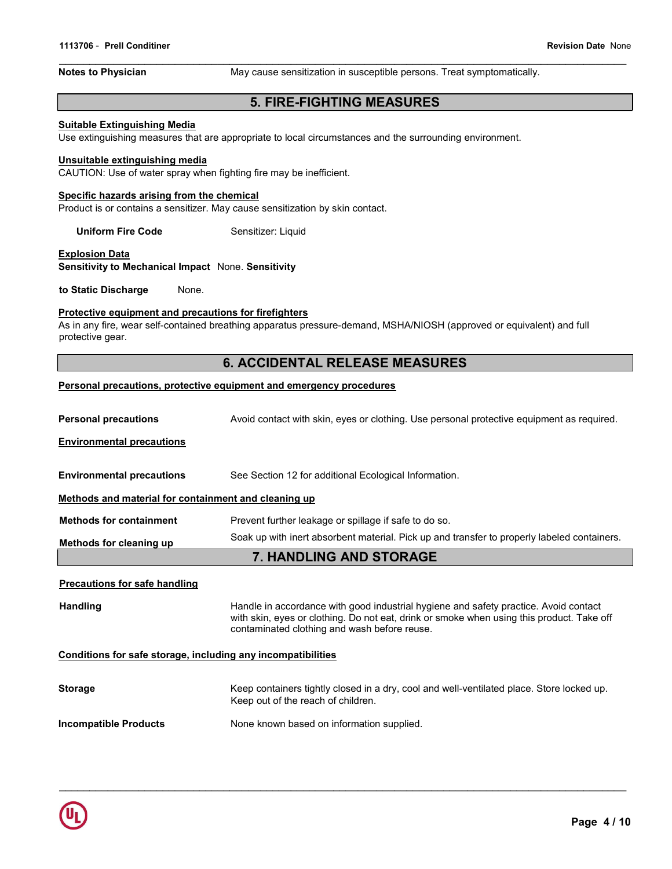Notes to Physician **May cause sensitization in susceptible persons**. Treat symptomatically.

# 5. FIRE-FIGHTING MEASURES

#### Suitable Extinguishing Media

Use extinguishing measures that are appropriate to local circumstances and the surrounding environment.

#### Unsuitable extinguishing media

CAUTION: Use of water spray when fighting fire may be inefficient.

#### Specific hazards arising from the chemical

Product is or contains a sensitizer. May cause sensitization by skin contact.

Uniform Fire Code Sensitizer: Liquid

#### **Explosion Data**

Sensitivity to Mechanical Impact None. Sensitivity

to Static Discharge None.

#### Protective equipment and precautions for firefighters

As in any fire, wear self-contained breathing apparatus pressure-demand, MSHA/NIOSH (approved or equivalent) and full protective gear.

# 6. ACCIDENTAL RELEASE MEASURES

#### Personal precautions, protective equipment and emergency procedures

| <b>Personal precautions</b>                                  | Avoid contact with skin, eyes or clothing. Use personal protective equipment as required.                                                                                                                                         |  |  |
|--------------------------------------------------------------|-----------------------------------------------------------------------------------------------------------------------------------------------------------------------------------------------------------------------------------|--|--|
| <b>Environmental precautions</b>                             |                                                                                                                                                                                                                                   |  |  |
| <b>Environmental precautions</b>                             | See Section 12 for additional Ecological Information.                                                                                                                                                                             |  |  |
| Methods and material for containment and cleaning up         |                                                                                                                                                                                                                                   |  |  |
| <b>Methods for containment</b>                               | Prevent further leakage or spillage if safe to do so.                                                                                                                                                                             |  |  |
| Methods for cleaning up                                      | Soak up with inert absorbent material. Pick up and transfer to properly labeled containers.                                                                                                                                       |  |  |
|                                                              | <b>7. HANDLING AND STORAGE</b>                                                                                                                                                                                                    |  |  |
| <b>Precautions for safe handling</b>                         |                                                                                                                                                                                                                                   |  |  |
| <b>Handling</b>                                              | Handle in accordance with good industrial hygiene and safety practice. Avoid contact<br>with skin, eyes or clothing. Do not eat, drink or smoke when using this product. Take off<br>contaminated clothing and wash before reuse. |  |  |
| Conditions for safe storage, including any incompatibilities |                                                                                                                                                                                                                                   |  |  |
| <b>Storage</b>                                               | Keep containers tightly closed in a dry, cool and well-ventilated place. Store locked up.<br>Keep out of the reach of children.                                                                                                   |  |  |
| <b>Incompatible Products</b>                                 | None known based on information supplied.                                                                                                                                                                                         |  |  |

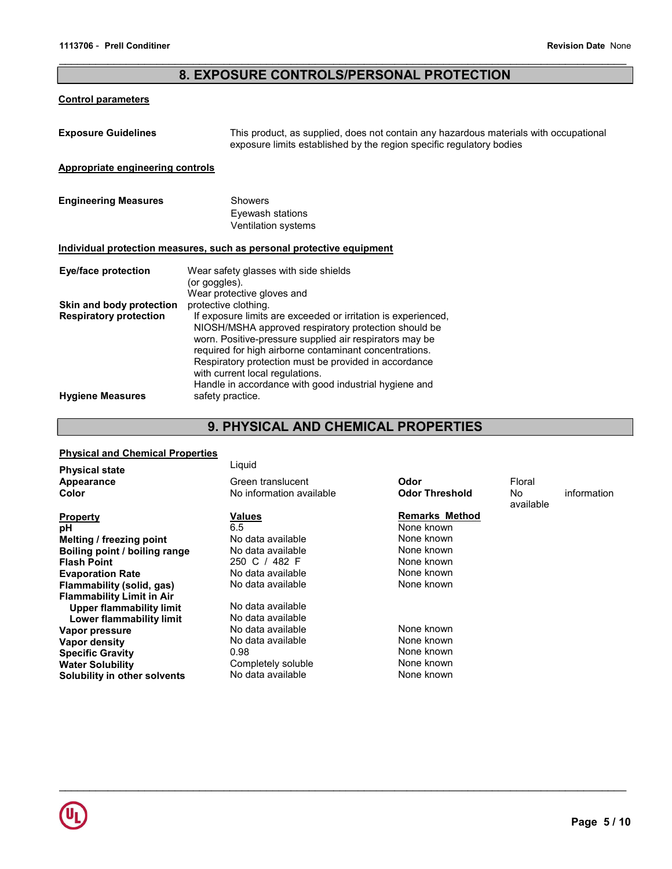# 8. EXPOSURE CONTROLS/PERSONAL PROTECTION

## Control parameters

| <b>Exposure Guidelines</b>                                | This product, as supplied, does not contain any hazardous materials with occupational<br>exposure limits established by the region specific regulatory bodies                                                                                                                                                                                                                                                           |
|-----------------------------------------------------------|-------------------------------------------------------------------------------------------------------------------------------------------------------------------------------------------------------------------------------------------------------------------------------------------------------------------------------------------------------------------------------------------------------------------------|
| Appropriate engineering controls                          |                                                                                                                                                                                                                                                                                                                                                                                                                         |
| <b>Engineering Measures</b>                               | <b>Showers</b><br>Eyewash stations<br><b>Ventilation systems</b>                                                                                                                                                                                                                                                                                                                                                        |
|                                                           | Individual protection measures, such as personal protective equipment                                                                                                                                                                                                                                                                                                                                                   |
| Eye/face protection                                       | Wear safety glasses with side shields<br>(or goggles).<br>Wear protective gloves and                                                                                                                                                                                                                                                                                                                                    |
| Skin and body protection<br><b>Respiratory protection</b> | protective clothing.<br>If exposure limits are exceeded or irritation is experienced,<br>NIOSH/MSHA approved respiratory protection should be<br>worn. Positive-pressure supplied air respirators may be<br>required for high airborne contaminant concentrations.<br>Respiratory protection must be provided in accordance<br>with current local regulations.<br>Handle in accordance with good industrial hygiene and |
| <b>Hygiene Measures</b>                                   | safety practice.                                                                                                                                                                                                                                                                                                                                                                                                        |

# 9. PHYSICAL AND CHEMICAL PROPERTIES

# Physical and Chemical Properties

| <b>Physical state</b>            | Liquid                   |                       |                  |             |
|----------------------------------|--------------------------|-----------------------|------------------|-------------|
| Appearance                       | Green translucent        | Odor                  | Floral           |             |
| Color                            | No information available | <b>Odor Threshold</b> | No.<br>available | information |
| <b>Property</b>                  | <b>Values</b>            | <b>Remarks Method</b> |                  |             |
| рH                               | 6.5                      | None known            |                  |             |
| Melting / freezing point         | No data available        | None known            |                  |             |
| Boiling point / boiling range    | No data available        | None known            |                  |             |
| <b>Flash Point</b>               | 250 C / 482 F            | None known            |                  |             |
| <b>Evaporation Rate</b>          | No data available        | None known            |                  |             |
| Flammability (solid, gas)        | No data available        | None known            |                  |             |
| <b>Flammability Limit in Air</b> |                          |                       |                  |             |
| Upper flammability limit         | No data available        |                       |                  |             |
| <b>Lower flammability limit</b>  | No data available        |                       |                  |             |
| Vapor pressure                   | No data available        | None known            |                  |             |
| Vapor density                    | No data available        | None known            |                  |             |
| <b>Specific Gravity</b>          | 0.98                     | None known            |                  |             |
| <b>Water Solubility</b>          | Completely soluble       | None known            |                  |             |
| Solubility in other solvents     | No data available        | None known            |                  |             |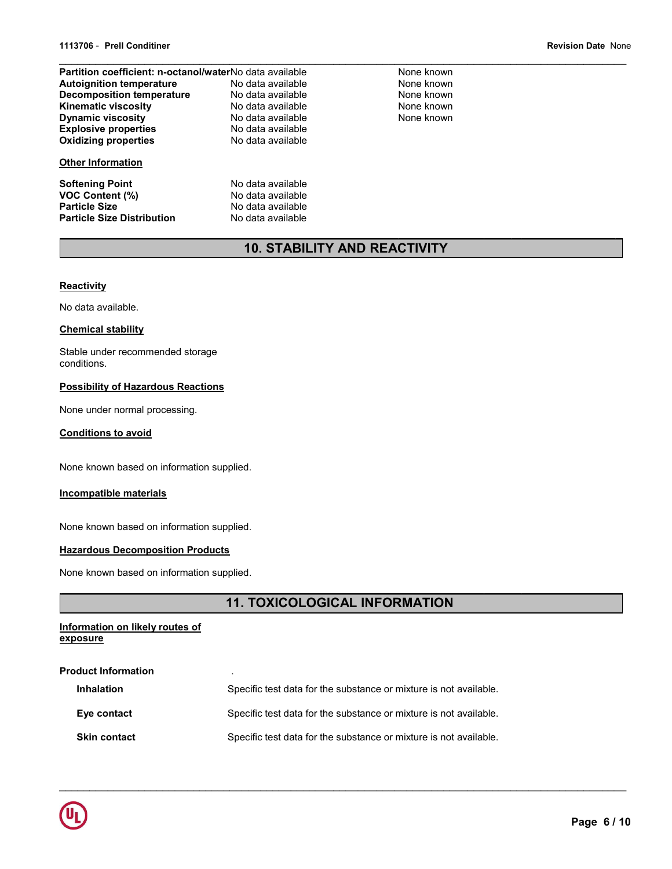| Partition coefficient: n-octanol/waterNo data available |                   | Nor |
|---------------------------------------------------------|-------------------|-----|
| <b>Autoignition temperature</b>                         | No data available | Nor |
| <b>Decomposition temperature</b>                        | No data available | Nor |
| <b>Kinematic viscosity</b>                              | No data available | Nor |
| <b>Dynamic viscosity</b>                                | No data available | Nor |
| <b>Explosive properties</b>                             | No data available |     |
| <b>Oxidizing properties</b>                             | No data available |     |
| <b>Other Information</b>                                |                   |     |
| <b>Softening Point</b>                                  | No data available |     |
| <b>VOC Content (%)</b>                                  | No data available |     |
| <b>Particle Size</b>                                    | No data available |     |
|                                                         |                   |     |
| <b>Particle Size Distribution</b>                       | No data available |     |

ne known ne known ne known ne known ne known

# 10. STABILITY AND REACTIVITY

#### **Reactivity**

No data available.

#### Chemical stability

Stable under recommended storage conditions.

## Possibility of Hazardous Reactions

None under normal processing.

## Conditions to avoid

None known based on information supplied.

#### Incompatible materials

None known based on information supplied.

# **Hazardous Decomposition Products**

None known based on information supplied.

# 11. TOXICOLOGICAL INFORMATION

 $\mathcal{L}_\mathcal{L} = \{ \mathcal{L}_\mathcal{L} = \{ \mathcal{L}_\mathcal{L} = \{ \mathcal{L}_\mathcal{L} = \{ \mathcal{L}_\mathcal{L} = \{ \mathcal{L}_\mathcal{L} = \{ \mathcal{L}_\mathcal{L} = \{ \mathcal{L}_\mathcal{L} = \{ \mathcal{L}_\mathcal{L} = \{ \mathcal{L}_\mathcal{L} = \{ \mathcal{L}_\mathcal{L} = \{ \mathcal{L}_\mathcal{L} = \{ \mathcal{L}_\mathcal{L} = \{ \mathcal{L}_\mathcal{L} = \{ \mathcal{L}_\mathcal{$ 

#### Information on likely routes of exposure

# Product Information . Inhalation Specific test data for the substance or mixture is not available. Eye contact Specific test data for the substance or mixture is not available. Skin contact Specific test data for the substance or mixture is not available.

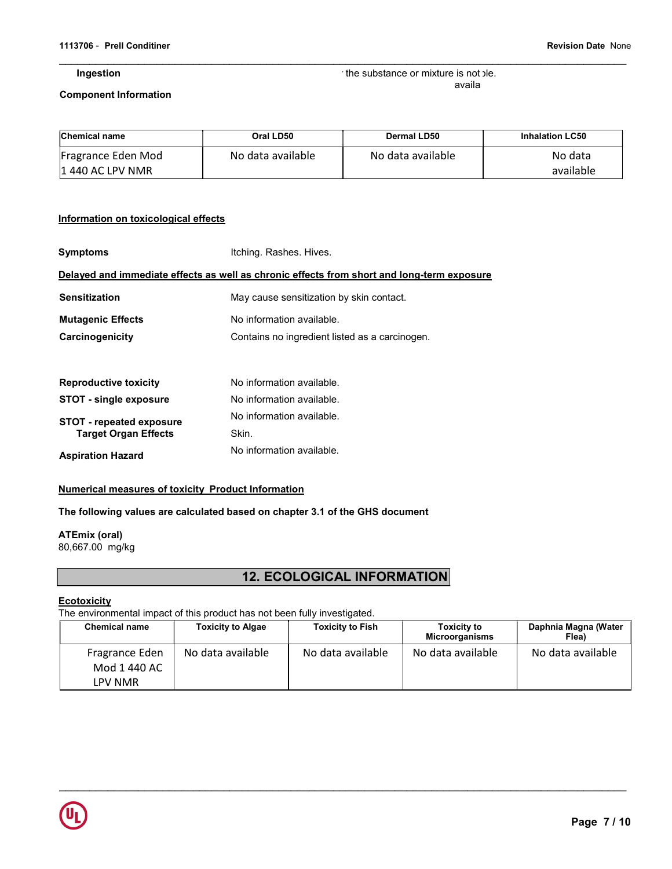#### Ingestion

Specific test data for the substance or mixture is not available

#### Component Information

| <b>Chemical name</b>                    | Oral LD50         | Dermal LD50       | <b>Inhalation LC50</b> |
|-----------------------------------------|-------------------|-------------------|------------------------|
| Fragrance Eden Mod<br>11 440 AC LPV NMR | No data available | No data available | No data<br>available   |

## Information on toxicological effects

| <b>Symptoms</b>                 | Itching. Rashes. Hives.                                                                    |
|---------------------------------|--------------------------------------------------------------------------------------------|
|                                 | Delayed and immediate effects as well as chronic effects from short and long-term exposure |
| <b>Sensitization</b>            | May cause sensitization by skin contact.                                                   |
| <b>Mutagenic Effects</b>        | No information available.                                                                  |
| Carcinogenicity                 | Contains no ingredient listed as a carcinogen.                                             |
|                                 |                                                                                            |
| <b>Reproductive toxicity</b>    | No information available.                                                                  |
| <b>STOT - single exposure</b>   | No information available.                                                                  |
| <b>STOT - repeated exposure</b> | No information available.                                                                  |
| <b>Target Organ Effects</b>     | Skin.                                                                                      |
| <b>Aspiration Hazard</b>        | No information available.                                                                  |

#### Numerical measures of toxicity Product Information

### The following values are calculated based on chapter 3.1 of the GHS document

ATEmix (oral) 80,667.00 mg/kg

# 12. ECOLOGICAL INFORMATION

### **Ecotoxicity**

The environmental impact of this product has not been fully investigated.

| <b>Chemical name</b>                      | <b>Toxicity to Algae</b> | <b>Toxicity to Fish</b> | <b>Toxicity to</b><br><b>Microorganisms</b> | Daphnia Magna (Water<br>Flea) |
|-------------------------------------------|--------------------------|-------------------------|---------------------------------------------|-------------------------------|
| Fragrance Eden<br>Mod 1 440 AC<br>LPV NMR | No data available        | No data available       | No data available                           | No data available             |

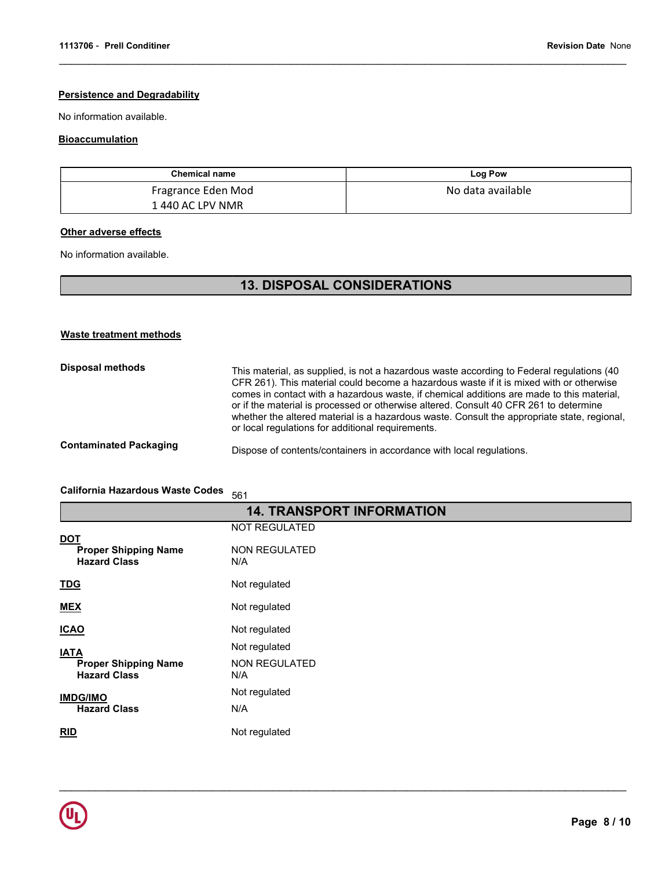## **Persistence and Degradability**

No information available.

## **Bioaccumulation**

| <b>Chemical name</b> | Log Pow           |
|----------------------|-------------------|
| Fragrance Eden Mod   | No data available |
| 1 440 AC LPV NMR     |                   |

## **Other adverse effects**

No information available.

# 13. DISPOSAL CONSIDERATIONS

## Waste treatment methods

| Disposal methods              | This material, as supplied, is not a hazardous waste according to Federal regulations (40<br>CFR 261). This material could become a hazardous waste if it is mixed with or otherwise<br>comes in contact with a hazardous waste, if chemical additions are made to this material,<br>or if the material is processed or otherwise altered. Consult 40 CFR 261 to determine<br>whether the altered material is a hazardous waste. Consult the appropriate state, regional,<br>or local regulations for additional requirements. |
|-------------------------------|--------------------------------------------------------------------------------------------------------------------------------------------------------------------------------------------------------------------------------------------------------------------------------------------------------------------------------------------------------------------------------------------------------------------------------------------------------------------------------------------------------------------------------|
| <b>Contaminated Packaging</b> | Dispose of contents/containers in accordance with local regulations.                                                                                                                                                                                                                                                                                                                                                                                                                                                           |

# California Hazardous Waste Codes 561

| <b>14. TRANSPORT INFORMATION</b>                                 |                             |  |
|------------------------------------------------------------------|-----------------------------|--|
|                                                                  | <b>NOT REGULATED</b>        |  |
| <u>DOT</u><br><b>Proper Shipping Name</b><br><b>Hazard Class</b> | <b>NON REGULATED</b><br>N/A |  |
| <b>TDG</b>                                                       | Not regulated               |  |
| <b>MEX</b>                                                       | Not regulated               |  |
| <b>ICAO</b>                                                      | Not regulated               |  |
| <b>IATA</b>                                                      | Not regulated               |  |
| <b>Proper Shipping Name</b><br><b>Hazard Class</b>               | <b>NON REGULATED</b><br>N/A |  |
| <b>IMDG/IMO</b>                                                  | Not regulated               |  |
| <b>Hazard Class</b>                                              | N/A                         |  |
| RID                                                              | Not regulated               |  |

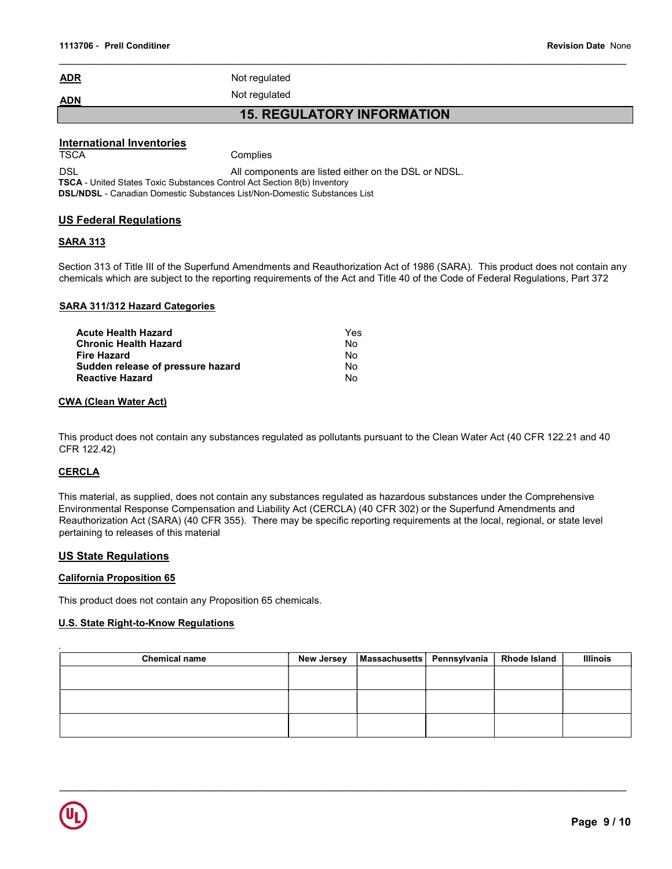ADR Not regulated

ADN Not regulated

15. REGULATORY INFORMATION

### International Inventories

TSCA Complies

DSL DSL All components are listed either on the DSL or NDSL.

TSCA - United States Toxic Substances Control Act Section 8(b) Inventory

DSL/NDSL - Canadian Domestic Substances List/Non-Domestic Substances List

# US Federal Regulations

# SARA 313

Section 313 of Title III of the Superfund Amendments and Reauthorization Act of 1986 (SARA). This product does not contain any chemicals which are subject to the reporting requirements of the Act and Title 40 of the Code of Federal Regulations, Part 372

## SARA 311/312 Hazard Categories

| Acute Health Hazard               | Yes |
|-----------------------------------|-----|
| Chronic Health Hazard             | N٥  |
| Fire Hazard                       | N٥  |
| Sudden release of pressure hazard | Nο  |
| Reactive Hazard                   | N٥  |
|                                   |     |

#### CWA (Clean Water Act)

This product does not contain any substances regulated as pollutants pursuant to the Clean Water Act (40 CFR 122.21 and 40 CFR 122.42)

# CERCLA

This material, as supplied, does not contain any substances regulated as hazardous substances under the Comprehensive Environmental Response Compensation and Liability Act (CERCLA) (40 CFR 302) or the Superfund Amendments and Reauthorization Act (SARA) (40 CFR 355). There may be specific reporting requirements at the local, regional, or state level pertaining to releases of this material

# US State Regulations

#### California Proposition 65

This product does not contain any Proposition 65 chemicals.

#### U.S. State Right-to-Know Regulations

| <b>Chemical name</b> | <b>New Jersey</b> | Massachusetts   Pennsylvania | <b>Rhode Island</b> | <b>Illinois</b> |
|----------------------|-------------------|------------------------------|---------------------|-----------------|
|                      |                   |                              |                     |                 |
|                      |                   |                              |                     |                 |
|                      |                   |                              |                     |                 |